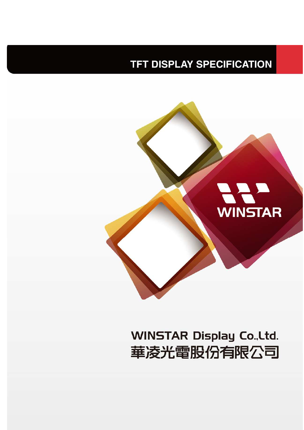## **TFT DISPLAY SPECIFICATION**



# **WINSTAR Display Co., Ltd.** 華凌光電股份有限公司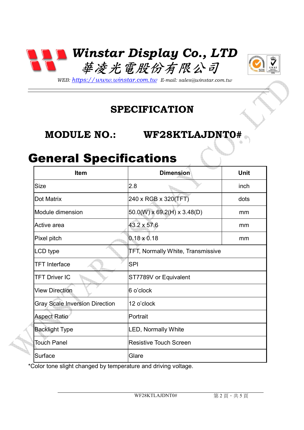



*WEB: https://www.winstar.com.tw E-mail: sales@winstar.com.tw* 

#### **SPECIFICATION**

#### **MODULE NO.: WF28KTLAJDNT0#**

#### General Specifications

| <b>Item</b>                           | <b>Dimension</b>                        | Unit |
|---------------------------------------|-----------------------------------------|------|
| <b>Size</b>                           | 2.8                                     | inch |
| Dot Matrix                            | 240 x RGB x 320(TFT)                    | dots |
| Module dimension                      | $50.0(W) \times 69.2(H) \times 3.48(D)$ | mm   |
| Active area                           | 43.2 x 57.6                             | mm   |
| Pixel pitch                           | $0.18 \times 0.18$                      | mm   |
| LCD type                              | TFT, Normally White, Transmissive       |      |
| <b>TFT</b> Interface                  | <b>SPI</b>                              |      |
| <b>TFT Driver IC</b>                  | ST7789V or Equivalent                   |      |
| <b>View Direction</b>                 | 6 o'clock                               |      |
| <b>Gray Scale Inversion Direction</b> | 12 o'clock                              |      |
| <b>Aspect Ratio</b>                   | Portrait                                |      |
| <b>Backlight Type</b>                 | LED, Normally White                     |      |
| Touch Panel                           | <b>Resistive Touch Screen</b>           |      |
| Surface                               | Glare                                   |      |

\*Color tone slight changed by temperature and driving voltage.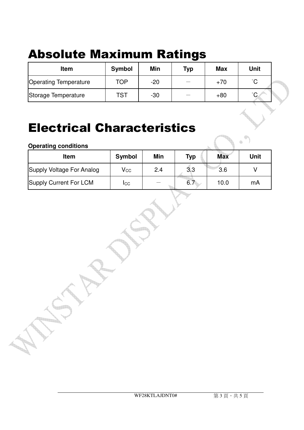# Absolute Maximum Ratings

| Item                         | <b>Symbol</b> | Min   | <b>Typ</b> | <b>Max</b> | <b>Unit</b> |  |
|------------------------------|---------------|-------|------------|------------|-------------|--|
| <b>Operating Temperature</b> | TOP           | $-20$ |            | $+70$      | $\hat{ }$   |  |
| Storage Temperature          | TST           | $-30$ | —          | $+80$      | $\circ$     |  |

## Electrical Characteristics

| <b>Operating conditions</b>   |                   |     |            |            | <b>ROLL</b> |
|-------------------------------|-------------------|-----|------------|------------|-------------|
| <b>Item</b>                   | <b>Symbol</b>     | Min | <b>Typ</b> | <b>Max</b> | <b>Unit</b> |
| Supply Voltage For Analog     | $\mathsf{V_{CC}}$ | 2.4 | 3.3        | 3.6        |             |
| <b>Supply Current For LCM</b> | Icc               |     | 6.7        | 10.0       | mA          |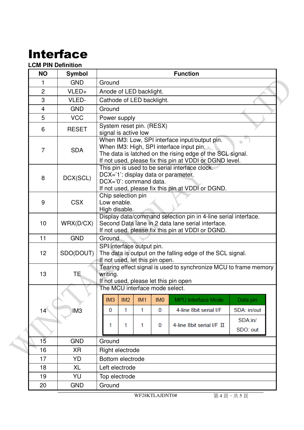## Interface

#### **LCM PIN Definition**

| <b>NO</b>       | <b>Symbol</b>   | <b>Function</b>                                                                                                                                                          |                                                                                                                                                                                                                    |            |                 |                           |                     |  |  |  |  |  |
|-----------------|-----------------|--------------------------------------------------------------------------------------------------------------------------------------------------------------------------|--------------------------------------------------------------------------------------------------------------------------------------------------------------------------------------------------------------------|------------|-----------------|---------------------------|---------------------|--|--|--|--|--|
| 1               | <b>GND</b>      | Ground                                                                                                                                                                   |                                                                                                                                                                                                                    |            |                 |                           |                     |  |  |  |  |  |
| $\overline{2}$  | VLED+           | Anode of LED backlight.                                                                                                                                                  |                                                                                                                                                                                                                    |            |                 |                           |                     |  |  |  |  |  |
| 3               | VLED-           | Cathode of LED backlight.                                                                                                                                                |                                                                                                                                                                                                                    |            |                 |                           |                     |  |  |  |  |  |
| 4               | <b>GND</b>      | Ground                                                                                                                                                                   |                                                                                                                                                                                                                    |            |                 |                           |                     |  |  |  |  |  |
| 5               | <b>VCC</b>      |                                                                                                                                                                          | Power supply                                                                                                                                                                                                       |            |                 |                           |                     |  |  |  |  |  |
| 6               | <b>RESET</b>    |                                                                                                                                                                          | System reset pin. (RESX)<br>signal is active low                                                                                                                                                                   |            |                 |                           |                     |  |  |  |  |  |
| $\overline{7}$  | <b>SDA</b>      |                                                                                                                                                                          | When IM3: Low, SPI interface input/output pin.<br>When IM3: High, SPI interface input pin.<br>The data is latched on the rising edge of the SCL signal.<br>If not used, please fix this pin at VDDI or DGND level. |            |                 |                           |                     |  |  |  |  |  |
| 8               | DCX(SCL)        |                                                                                                                                                                          | This pin is used to be serial interface clock.<br>DCX='1': display data or parameter.<br>DCX='0': command data.<br>If not used, please fix this pin at VDDI or DGND.                                               |            |                 |                           |                     |  |  |  |  |  |
| 9               | <b>CSX</b>      |                                                                                                                                                                          | Chip selection pin<br>Low enable.<br>High disable.                                                                                                                                                                 |            |                 |                           |                     |  |  |  |  |  |
| 10              | WRX(D/CX)       | Display data/command selection pin in 4-line serial interface.<br>Second Data lane in 2 data lane serial interface.<br>If not used, please fix this pin at VDDI or DGND. |                                                                                                                                                                                                                    |            |                 |                           |                     |  |  |  |  |  |
| 11              | <b>GND</b>      | Ground                                                                                                                                                                   |                                                                                                                                                                                                                    |            |                 |                           |                     |  |  |  |  |  |
| 12              | SDO(DOUT)       | SPI interface output pin.<br>The data is output on the falling edge of the SCL signal.<br>If not used, let this pin open.                                                |                                                                                                                                                                                                                    |            |                 |                           |                     |  |  |  |  |  |
| 13              | TE.             | Tearing effect signal is used to synchronize MCU to frame memory<br>writing.<br>If not used, please let this pin open                                                    |                                                                                                                                                                                                                    |            |                 |                           |                     |  |  |  |  |  |
|                 |                 | The MCU interface mode select.                                                                                                                                           |                                                                                                                                                                                                                    |            |                 |                           |                     |  |  |  |  |  |
|                 |                 | IM3                                                                                                                                                                      | IM2                                                                                                                                                                                                                | <b>IM1</b> | IM <sub>0</sub> | MPU Interface Mode        | Data pin            |  |  |  |  |  |
| 14 <sup>°</sup> | IM <sub>3</sub> | 0                                                                                                                                                                        | 1                                                                                                                                                                                                                  | 1          | 0               | 4-line 8bit serial I/F    | SDA: in/out         |  |  |  |  |  |
|                 |                 | 1                                                                                                                                                                        | 1                                                                                                                                                                                                                  | 1          | 0               | 4-line 8bit serial I/F II | SDA:in/<br>SDO: out |  |  |  |  |  |
|                 |                 |                                                                                                                                                                          |                                                                                                                                                                                                                    |            |                 |                           |                     |  |  |  |  |  |
| $1\overline{5}$ |                 | <b>GND</b><br>Ground                                                                                                                                                     |                                                                                                                                                                                                                    |            |                 |                           |                     |  |  |  |  |  |
| 16              | XR              | Right electrode                                                                                                                                                          |                                                                                                                                                                                                                    |            |                 |                           |                     |  |  |  |  |  |
| 17              | YD              | Bottom electrode<br>Left electrode                                                                                                                                       |                                                                                                                                                                                                                    |            |                 |                           |                     |  |  |  |  |  |
| 18              | XL              |                                                                                                                                                                          |                                                                                                                                                                                                                    |            |                 |                           |                     |  |  |  |  |  |
| 19              | YU              | Top electrode                                                                                                                                                            |                                                                                                                                                                                                                    |            |                 |                           |                     |  |  |  |  |  |
| 20              | <b>GND</b>      | Ground                                                                                                                                                                   |                                                                                                                                                                                                                    |            |                 |                           |                     |  |  |  |  |  |